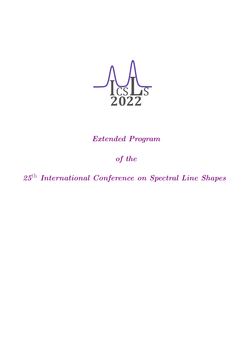

## *Extended Program*

## *of the*

*25*th *International Conference on Spectral Line Shapes*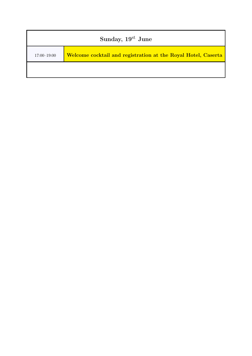| Sunday, 19st June |                                                               |
|-------------------|---------------------------------------------------------------|
| $17:00 - 19:00$   | Welcome cocktail and registration at the Royal Hotel, Caserta |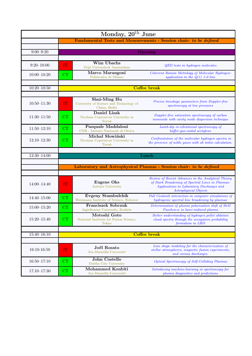| Monday, 20 <sup>th</sup> June |                                                                     |                                                                 |                                                                                                                                |
|-------------------------------|---------------------------------------------------------------------|-----------------------------------------------------------------|--------------------------------------------------------------------------------------------------------------------------------|
|                               |                                                                     |                                                                 | Fundamental Tests and Measurements - Session chair: to be defined                                                              |
|                               |                                                                     |                                                                 |                                                                                                                                |
| $9:00 - 9:20$                 |                                                                     |                                                                 | Opening                                                                                                                        |
|                               |                                                                     |                                                                 |                                                                                                                                |
| $9:20 - 10:00$                | ΙТ                                                                  | Wim Ubachs<br>Vrije Universiteit Amsterdam                      | <b>QED</b> tests in hydrogen molecules                                                                                         |
| $10:00 - 10:20$               | CT                                                                  | Marco Marangoni<br>Politecnico di Milano                        | Coherent Raman Metrology of Molecular Hydrogen:<br>application to the $Q(1)$ 1-0 line                                          |
|                               |                                                                     | <b>Coffee break</b>                                             |                                                                                                                                |
| $10:20 - 10:50$               |                                                                     |                                                                 |                                                                                                                                |
|                               |                                                                     | Shui-Ming Hu                                                    |                                                                                                                                |
| $10:50 - 11:30$               | IT                                                                  | University of Science and Technology of<br>China, Heifei        | Precise lineshape parameters from Doppler-free<br>spectroscopy at low pressures                                                |
| $11:30 - 11:50$               | CT                                                                  | Daniel Lisak<br>Nicolaus Copernicus University in<br>Toruń      | Doppler-free saturation spectroscopy of carbon<br>monoxide with cavity mode dispersion technique                               |
| $11:50 - 12:10$               | CT                                                                  | Pasquale Maddaloni<br>CNR - Istituto Nazionale di Ottica        | Lamb-dip ro-vibrational spectroscopy of<br>buffer-gas-cooled acetylene                                                         |
| $12:10 - 12:30$               | CT                                                                  | Michał Słowiński<br>Nicolaus Copernicus University in<br>Toruń  | Confrontation of the molecular hydrogen spectra in<br>the presence of noble gases with ab initio calculation.                  |
|                               |                                                                     |                                                                 |                                                                                                                                |
| $12:30 - 14:00$               |                                                                     |                                                                 | Lunch                                                                                                                          |
|                               |                                                                     |                                                                 |                                                                                                                                |
|                               | Laboratory and Astrophysical Plasmas - Session chair: to be defined |                                                                 |                                                                                                                                |
|                               |                                                                     |                                                                 | Review of Recent Advances in the Analytical Theory                                                                             |
| $14:00 - 14:40$               | IT                                                                  | Eugene Oks<br><b>Auburn University</b>                          | of Stark Broadening of Spectral Lines in Plasmas:<br>Applications to Laboratory Discharges and<br><i>Astrophysical Objects</i> |
| $14:40 - 15:00$               | CT                                                                  | Evgeny Stambulchik<br>Weizmann Institute of Science, Rehovot    | Full Coulomb interaction in computer simulations of<br>hydrogenic spectral line broadening by plasmas                          |
| $15:00 - 15:20$               | CT                                                                  | <b>Franciszek Sobczuk</b><br>Jagiellonian University, Kraków    | Determination of plasma polarization shift of HeII<br>Paschen- $\alpha$ in laser-induced plasma                                |
| $15:20 - 15:40$               | CT                                                                  | Motoshi Goto<br>National Institute for Fusion Science,<br>Tokyo | Better understanding of hydrogen pellet ablation<br>cloud spectra through the occupation probability<br>formalism in LHD       |
|                               |                                                                     |                                                                 |                                                                                                                                |
| $15:40 - 16:10$               |                                                                     | <b>Coffee break</b>                                             |                                                                                                                                |
|                               |                                                                     |                                                                 |                                                                                                                                |
| 16:10-16:50                   | IT                                                                  | Joël Rosato<br>Aix-Marseille-Université                         | Line shape modeling for the characterization of<br>stellar atmospheres, magnetic fusion experiments,<br>and corona discharges. |
| $16:50 - 17:10$               | CT                                                                  | John Costello<br>Dublin City University                         | Optical Spectroscopy of Self-Colliding Plasmas                                                                                 |
| $17:10 - 17:30$               | CT                                                                  | Mohammed Koubiti<br>Aix-Marseille-Université                    | Introducing machine-learning in spectroscopy for<br>plasma diagnostics and predictions                                         |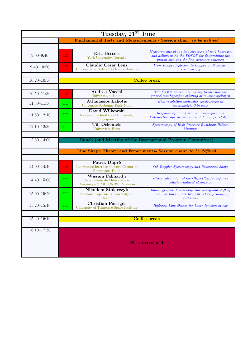| Tuesday, 21 <sup>st</sup> June |                                                                   |                                                                                    |                                                                                                                                                       |
|--------------------------------|-------------------------------------------------------------------|------------------------------------------------------------------------------------|-------------------------------------------------------------------------------------------------------------------------------------------------------|
|                                | Fundamental Tests and Measurements - Session chair: to be defined |                                                                                    |                                                                                                                                                       |
|                                |                                                                   |                                                                                    |                                                                                                                                                       |
| $9:00 - 9:40$                  | IT                                                                | Eric Hessels<br>York University, Toronto                                           | Measurements of the fine-structure of $n=2$ hydrogen<br>and helium using the FOSOF for determining the<br>proton size and the fine-structure constant |
| $9:40-10:20$                   | IT                                                                | <b>Claudio Cesar Lenz</b><br>Universidade Federal do Rio de Janeiro                | From trapped hydrogen to trapped antihydrogen<br>spectroscopy                                                                                         |
|                                |                                                                   |                                                                                    |                                                                                                                                                       |
| $10:20 - 10:50$                | <b>Coffee break</b>                                               |                                                                                    |                                                                                                                                                       |
|                                |                                                                   |                                                                                    |                                                                                                                                                       |
| $10:50 - 11:30$                | IT                                                                | Andrea Vacchi<br>Università di Udine                                               | The FAMU experiment aiming to measure the<br>ground stat hyperfine splitting of muonic hydrogen                                                       |
| $11:30 - 11:50$                | CT                                                                | <b>Athanasios Laliotis</b><br>Université Sorbonne Paris Nord                       | High resolution molecular spectroscopy in<br>micrometric thin cells                                                                                   |
| $11:50 - 12:10$                | CT                                                                | David Wilkowski<br>Nanyang Technological University,<br>Singapore                  | Response of atoms near a metasurface and<br>FM-spectroscopy in medium with large optical depth                                                        |
| $12:10 - 12:30$                | CT                                                                | <b>Till Ockenfels</b><br>Universität Bonn                                          | Spectroscopy of High Pressure Rubidium-Helium<br><i>Mixtures</i>                                                                                      |
|                                |                                                                   |                                                                                    |                                                                                                                                                       |
| $12:30 - 14:00$                |                                                                   |                                                                                    | Lunch (and Meeting of the International Program Committee)                                                                                            |
|                                |                                                                   |                                                                                    |                                                                                                                                                       |
|                                |                                                                   |                                                                                    | Line Shape Theory and Experiments- Session chair: to be defined                                                                                       |
|                                |                                                                   |                                                                                    |                                                                                                                                                       |
| $14:00 - 14:40$                | IT                                                                | Patrik Dupré<br>Laboratoire Interdisciplinaire Carnot de<br>Bourgogne, Dijon       | <b>Sub-Doppler Spectroscopy and Resonance Shape</b>                                                                                                   |
| $14:40 - 15:00$                | CT                                                                | Wissam Fakhardji<br>Laboratoire de Méteorologie<br>Dynamique/IPSL, CNRS, Palaiseau | Direct calculation of the $CH_4+CO_2$ far infrared<br>collision-induced absorption                                                                    |
| $15:00 - 15:20$                | CT                                                                | Nikodem Stolarczyk<br>Nicolaus Copernicus University in<br>Toruń                   | Inhomogeneous broadening, narrowing and shift of<br>molecular lines under frequent velocity-changing<br>collisions                                    |
| $15:20 - 15:40$                | CT                                                                | <b>Christian Parriger</b><br>University of Tennessee Space Institute               | Hydroxyl Line Shapes for Laser Ignition of Air                                                                                                        |
|                                |                                                                   |                                                                                    |                                                                                                                                                       |
| 15:40-16:10                    | <b>Coffee break</b>                                               |                                                                                    |                                                                                                                                                       |
|                                |                                                                   |                                                                                    |                                                                                                                                                       |
| $16:10 - 17:30$                | <b>Poster session 1</b>                                           |                                                                                    |                                                                                                                                                       |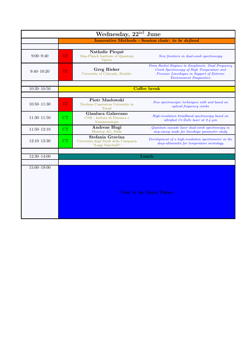| Wednesday, 22 <sup>nd</sup> June |                                  |                                                                                 |                                                                                                                                                                               |
|----------------------------------|----------------------------------|---------------------------------------------------------------------------------|-------------------------------------------------------------------------------------------------------------------------------------------------------------------------------|
|                                  |                                  |                                                                                 | Innovative Methods - Session chair: to be defined                                                                                                                             |
|                                  |                                  |                                                                                 |                                                                                                                                                                               |
| $9:00 - 9:40$                    | IT                               | Nathalie Picqué<br>Max-Planck Institute of Quantum<br>Optics                    | New frontiers in dual-comb spectroscopy                                                                                                                                       |
| $9:40-10:20$                     | $\mathbf{IT}$                    | <b>Greg Rieker</b><br>University of Colorado, Boulder                           | From Rocket Engines to Exoplanets: Dual Frequency<br>Comb Spectroscopy of High Temperature and<br>Pressure Lineshapes in Support of Extreme<br><b>Environment Diagnostics</b> |
|                                  |                                  |                                                                                 |                                                                                                                                                                               |
| $10:20 - 10:50$                  | <b>Coffee break</b>              |                                                                                 |                                                                                                                                                                               |
|                                  |                                  | Piotr Masłowski                                                                 |                                                                                                                                                                               |
| $10:50 - 11:30$                  | IT                               | Nicolaus Copernicus University in<br>Toruń                                      | New spectroscopic techniques with and based on<br><i>optical frequency combs</i>                                                                                              |
| $11:30 - 11:50$                  | CT                               | Gianluca Galzerano<br>CNR - Istituto di Fotonica e<br>Nanotecnologie            | High-resolution broadband spectroscopy based on<br>ultrafast Cr:ZnSe laser at 2.4 $\mu$ m                                                                                     |
| $11:50 - 12:10$                  | CT                               | Andreas Hugi<br>IRsweep AG, Stäfa                                               | Quantum cascade laser dual-comb spectroscopy in<br>step-sweep mode for lineshape parameter study                                                                              |
| $12:10 - 12:30$                  | CT                               | Stefania Gravina<br>Università degli Studi della Campania<br>"Luigi Vanvitelli" | Development of a high-resolution spectrometer in the<br>deep-ultraviolet for temperature metrology                                                                            |
|                                  |                                  |                                                                                 |                                                                                                                                                                               |
| $12:30 - 14:00$                  |                                  | Lunch                                                                           |                                                                                                                                                                               |
|                                  |                                  |                                                                                 |                                                                                                                                                                               |
| $15:00 - 19:00$                  | <b>Visit to the Royal Palace</b> |                                                                                 |                                                                                                                                                                               |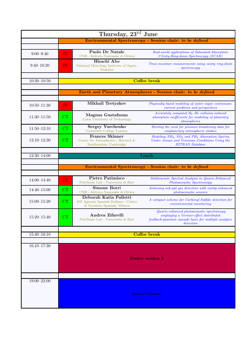|                 |                                                                | Thursday, 23 <sup>rd</sup> June                                                         |                                                                                                                                                               |
|-----------------|----------------------------------------------------------------|-----------------------------------------------------------------------------------------|---------------------------------------------------------------------------------------------------------------------------------------------------------------|
|                 | Environmental Spectroscopy - Session chair: to be defined      |                                                                                         |                                                                                                                                                               |
|                 |                                                                |                                                                                         |                                                                                                                                                               |
| $9:00 - 9:40$   | ГТ                                                             | Paolo De Natale<br>CNR - Istituto Nazionale di Ottica                                   | Real-world applications of Saturated-Absorption<br>$CAvity-Ring-down$ Spectroscopy $(SCAR)$                                                                   |
| $9:40 - 10:20$  | IT                                                             | Hisachi Abe<br>National Metrology Institute of Japan,<br>Tsukuba                        | Trace-moisture measurements using cavity ring-down<br>spectroscopy                                                                                            |
|                 |                                                                |                                                                                         |                                                                                                                                                               |
| $10:20 - 10:50$ | <b>Coffee break</b>                                            |                                                                                         |                                                                                                                                                               |
|                 |                                                                |                                                                                         |                                                                                                                                                               |
|                 | Earth and Planetary Atmospheres - Session chair: to be defined |                                                                                         |                                                                                                                                                               |
|                 |                                                                |                                                                                         |                                                                                                                                                               |
| $10:50 - 11:30$ | IT                                                             | Mikhail Tretyakov                                                                       | Physically based modeling of water vapor continuum:<br>current problems and perspectives                                                                      |
| $11:30 - 11:50$ | CT                                                             | <b>Magnus Gustafsonn</b><br>Luleå University of Technology                              | Accurately computed $H_2$ -He collision-induced<br>absorption coefficients for modeling of planetary<br>atmospheres                                           |
| $11:50 - 12:10$ | CT                                                             | <b>Sergey Yurchenko</b><br>University College London                                    | Meeting the need for pressure-broadening data for<br>exoplanetary atmospheric studies                                                                         |
| $12:10 - 12:30$ | CT                                                             | <b>Frances Skinner</b><br>Center for Astrophysics   Harvard &<br>Smithsonian, Cambridge | Modeling NH <sub>3</sub> , SO <sub>2</sub> and PH <sub>3</sub> Absorption Spectra<br>Under Jovian and Venusian Conditions Using the<br><b>HITRAN</b> Database |
|                 |                                                                |                                                                                         |                                                                                                                                                               |
| $12:30 - 14:00$ | Lunch                                                          |                                                                                         |                                                                                                                                                               |
|                 |                                                                |                                                                                         |                                                                                                                                                               |
|                 |                                                                |                                                                                         | Environmental Spectroscopy - Session chair: to be defined                                                                                                     |
|                 |                                                                |                                                                                         |                                                                                                                                                               |
| $14:00 - 14:40$ | IT                                                             | Pietro Patimisco<br>PolySense Lab - Università di Bari                                  | Multivariate Spectral Analysis in Quartz-Enhanced<br>Photoacoustic Spectroscopy                                                                               |
| $14:40 - 15:00$ | CT                                                             | Simone Borri<br>CNR - Istituto Nazionale di Ottica                                      | Achieving sub-ppt gas detection with cavity-enhanced<br>photoacoustic sensors                                                                                 |
|                 |                                                                | Deborah Katia Pallotti                                                                  | A compact scheme for Carbonyl Sulfide detection for                                                                                                           |
| $15:00 - 15:20$ | CT                                                             | ASI Agenzia Spaziale Italiana - Centro<br>di Geodesia Spaziale, Matera                  | environmental monitoring                                                                                                                                      |
| $15:20 - 15:40$ | CT                                                             | Andrea Zifarelli<br>$\operatorname{PolySense}$ Lab - Università di Bari                 | Quartz-enhanced photoacoustic spectroscopy<br>employing a Vernier-effect distributed<br>feedback-quantum cascade laser for multiple analytes<br>detection     |
|                 |                                                                |                                                                                         |                                                                                                                                                               |
| $15:40 - 16:10$ |                                                                | <b>Coffee break</b>                                                                     |                                                                                                                                                               |
|                 |                                                                |                                                                                         |                                                                                                                                                               |
| $16:10 - 17:30$ |                                                                |                                                                                         |                                                                                                                                                               |
|                 | <b>Poster session 2</b>                                        |                                                                                         |                                                                                                                                                               |
|                 |                                                                |                                                                                         |                                                                                                                                                               |
| $19:00 - 22:00$ |                                                                |                                                                                         |                                                                                                                                                               |
|                 | <b>Social Dinner</b>                                           |                                                                                         |                                                                                                                                                               |